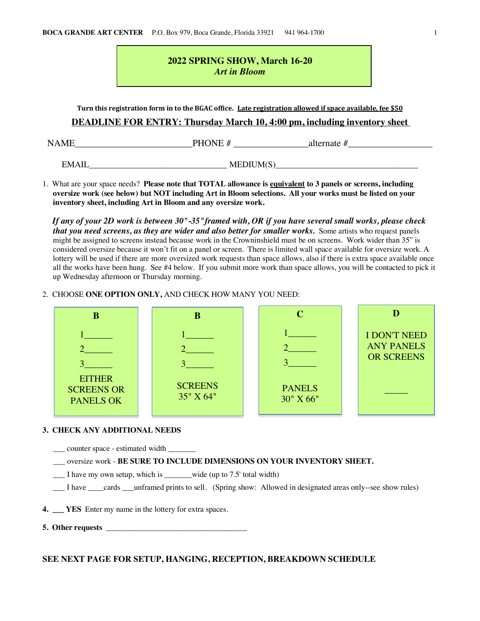# **2022 SPRING SHOW, March 16-20** *Art in Bloom*

Turn this registration form in to the BGAC office. Late registration allowed if space available, fee \$50

## **DEADLINE FOR ENTRY: Thursday March 10, 4:00 pm, including inventory sheet**

NAME\_\_\_\_\_\_\_\_\_\_\_\_\_\_\_\_\_\_\_\_\_\_\_\_\_PHONE # \_\_\_\_\_\_\_\_\_\_\_\_\_\_\_\_alternate #\_\_\_\_\_\_\_\_\_\_\_\_\_\_\_\_\_\_

 $EMAIL$   $MEDIUM(S)$ </u>

1. What are your space needs? **Please note that TOTAL allowance is equivalent to 3 panels or screens, including oversize work (see below) but NOT including Art in Bloom selections. All your works must be listed on your inventory sheet, including Art in Bloom and any oversize work.**

*If any of your 2D work is between 30"-35"framed with, OR if you have several small works, please check that you need screens, as they are wider and also better for smaller works.* Some artists who request panels might be assigned to screens instead because work in the Crowninshield must be on screens. Work wider than 35" is considered oversize because it won't fit on a panel or screen. There is limited wall space available for oversize work. A lottery will be used if there are more oversized work requests than space allows, also if there is extra space available once all the works have been hung. See #4 below. If you submit more work than space allows, you will be contacted to pick it up Wednesday afternoon or Thursday morning.

## 2. CHOOSE **ONE OPTION ONLY,** AND CHECK HOW MANY YOU NEED:



#### **3. CHECK ANY ADDITIONAL NEEDS**

\_\_\_ counter space - estimated width \_\_\_\_\_\_\_

\_\_\_ oversize work - **BE SURE TO INCLUDE DIMENSIONS ON YOUR INVENTORY SHEET.**

\_\_\_ I have my own setup, which is \_\_\_\_\_\_\_wide (up to 7.5' total width)

\_\_\_ I have \_\_\_\_cards \_\_\_unframed prints to sell. (Spring show: Allowed in designated areas only--see show rules)

**4. \_\_\_ YES** Enter my name in the lottery for extra spaces.

**5. Other requests** 

## **SEE NEXT PAGE FOR SETUP, HANGING, RECEPTION, BREAKDOWN SCHEDULE**